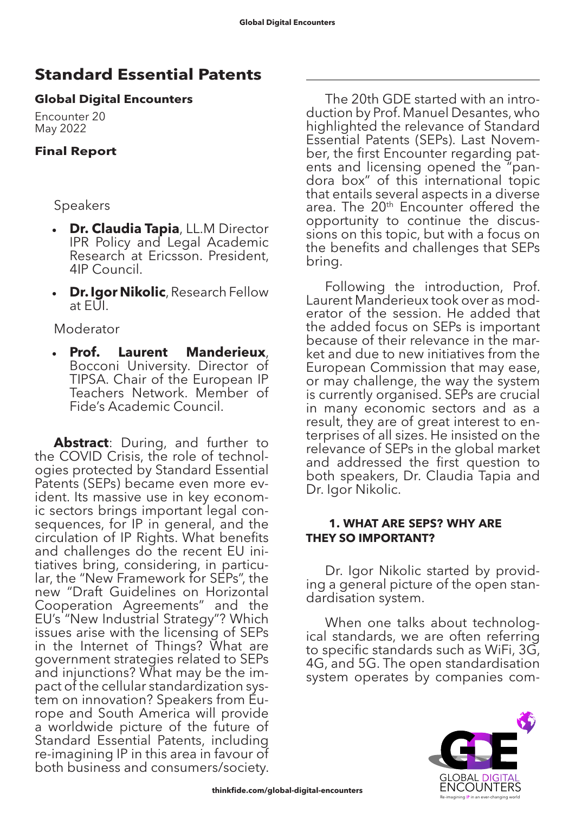# **Standard Essential Patents**

# **Global Digital Encounters**

Encounter 20 May 2022

# **Final Report**

# Speakers

- **Dr. Claudia Tapia**, LL.M Director IPR Policy and Legal Academic Research at Ericsson. President, 4IP Council.
- • **Dr. Igor Nikolic**, Research Fellow at EUI.

Moderator

**Prof. Laurent Manderieux**, Bocconi University. Director of TIPSA. Chair of the European IP Teachers Network. Member of Fide's Academic Council.

**Abstract**: During, and further to the COVID Crisis, the role of technologies protected by Standard Essential Patents (SEPs) became even more evident. Its massive use in key economic sectors brings important legal consequences, for IP in general, and the circulation of IP Rights. What benefits and challenges do the recent EU ini- tiatives bring, considering, in particu- lar, the "New Framework for SEPs", the new "Draft Guidelines on Horizontal Cooperation Agreements" and the EU's "New Industrial Strategy"? Which issues arise with the licensing of SEPs in the Internet of Things? What are government strategies related to SEPs and injunctions? What may be the impact of the cellular standardization sys- tem on innovation? Speakers from Eu- rope and South America will provide a worldwide picture of the future of Standard Essential Patents, including re-imagining IP in this area in favour of both business and consumers/society.

The 20th GDE started with an introduction by Prof. Manuel Desantes, who highlighted the relevance of Standard Essential Patents (SEPs). Last November, the first Encounter regarding patents and licensing opened the "pandora box" of this international topic that entails several aspects in a diverse area. The 20<sup>th</sup> Encounter offered the opportunity to continue the discussions on this topic, but with a focus on the benefits and challenges that SEPs bring.

Following the introduction, Prof. Laurent Manderieux took over as moderator of the session. He added that the added focus on SEPs is important because of their relevance in the market and due to new initiatives from the European Commission that may ease, or may challenge, the way the system is currently organised. SEPs are crucial in many economic sectors and as a result, they are of great interest to en- terprises of all sizes. He insisted on the relevance of SEPs in the global market and addressed the first question to both speakers, Dr. Claudia Tapia and Dr. Igor Nikolic.

# **1. WHAT ARE SEPS? WHY ARE THEY SO IMPORTANT?**

Dr. Igor Nikolic started by providing a general picture of the open standardisation system.

When one talks about technological standards, we are often referring to specific standards such as WiFi, 3G, 4G, and 5G. The open standardisation system operates by companies com-

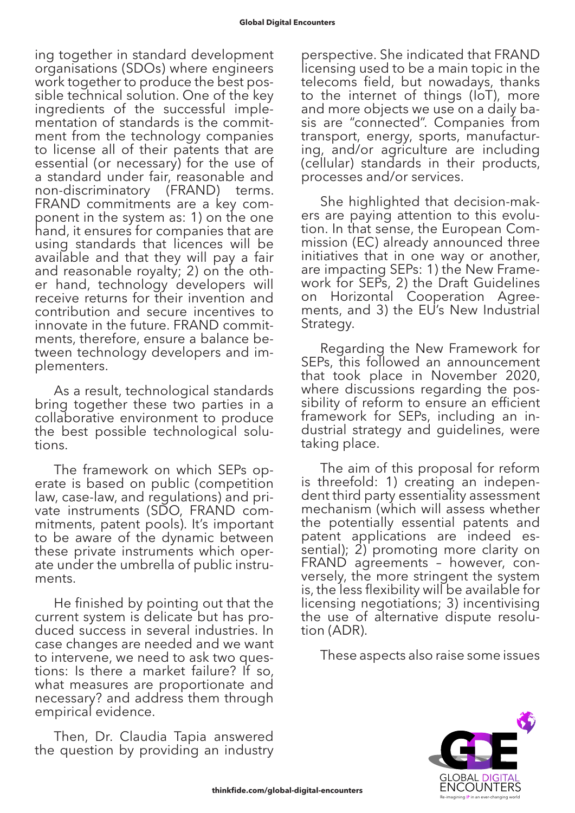ing together in standard development organisations (SDOs) where engineers work together to produce the best pos- sible technical solution. One of the key ingredients of the successful imple- mentation of standards is the commit- ment from the technology companies to license all of their patents that are essential (or necessary) for the use of a standard under fair, reasonable and non-discriminatory (FRAND) terms. FRAND commitments are a key com- ponent in the system as: 1) on the one hand, it ensures for companies that are using standards that licences will be available and that they will pay a fair and reasonable royalty; 2) on the oth-<br>er hand, technology developers will receive returns for their invention and contribution and secure incentives to innovate in the future. FRAND commitments, therefore, ensure a balance between technology developers and implementers.

As a result, technological standards bring together these two parties in a collaborative environment to produce the best possible technological solutions.

The framework on which SEPs operate is based on public (competition law, case-law, and regulations) and private instruments (SDO, FRAND commitments, patent pools). It's important to be aware of the dynamic between these private instruments which operate under the umbrella of public instruments.

He finished by pointing out that the current system is delicate but has pro- duced success in several industries. In case changes are needed and we want to intervene, we need to ask two ques- tions: Is there a market failure? If so, what measures are proportionate and necessary? and address them through empirical evidence.

Then, Dr. Claudia Tapia answered the question by providing an industry

perspective. She indicated that FRAND licensing used to be a main topic in the telecoms field, but nowadays, thanks to the internet of things (IoT), more and more objects we use on a daily ba- sis are "connected". Companies from transport, energy, sports, manufactur- ing, and/or agriculture are including (cellular) standards in their products, processes and/or services.

She highlighted that decision-mak-<br>ers are paying attention to this evolu-<br>tion. In that sense, the European Com-<br>mission (EC) already announced three initiatives that in one way or another, are impacting SEPs: 1) the New Frame- work for SEPs, 2) the Draft Guidelines on Horizontal Cooperation Agree- ments, and 3) the EU's New Industrial Strategy.

Regarding the New Framework for SEPs, this followed an announcement that took place in November 2020, where discussions regarding the possibility of reform to ensure an efficient framework for SEPs, including an industrial strategy and guidelines, were taking place.

The aim of this proposal for reform is threefold: 1) creating an independent third party essentiality assessment mechanism (which will assess whether the potentially essential patents and patent applications are indeed essential); 2) promoting more clarity on FRAND agreements – however, con- versely, the more stringent the system is, the less flexibility will be available for licensing negotiations; 3) incentivising the use of alternative dispute resolu-<br>tion (ADR).

These aspects also raise some issues

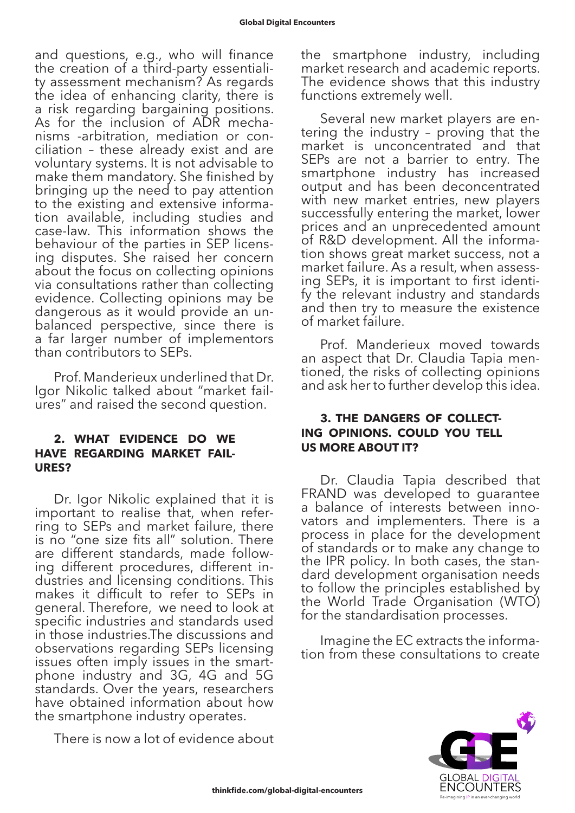and questions, e.g., who will finance the creation of a third-party essentiali- ty assessment mechanism? As regards the idea of enhancing clarity, there is a risk regarding bargaining positions. As for the inclusion of ADR mecha- nisms -arbitration, mediation or con- ciliation – these already exist and are voluntary systems. It is not advisable to make them mandatory. She finished by bringing up the need to pay attention to the existing and extensive informa- tion available, including studies and case-law. This information shows the behaviour of the parties in SEP licens- ing disputes. She raised her concern about the focus on collecting opinions via consultations rather than collecting evidence. Collecting opinions may be dangerous as it would provide an un- balanced perspective, since there is a far larger number of implementors than contributors to SEPs.

Prof. Manderieux underlined that Dr. Igor Nikolic talked about "market failures" and raised the second question.

#### **2. WHAT EVIDENCE DO WE HAVE REGARDING MARKET FAIL-URES?**

Dr. Igor Nikolic explained that it is important to realise that, when refer- ring to SEPs and market failure, there is no "one size fits all" solution. There are different standards, made follow- ing different procedures, different in- dustries and licensing conditions. This makes it difficult to refer to SEPs in general. Therefore, we need to look at specific industries and standards used in those industries.The discussions and observations regarding SEPs licensing issues often imply issues in the smart- phone industry and 3G, 4G and 5G standards. Over the years, researchers have obtained information about how the smartphone industry operates.

There is now a lot of evidence about

the smartphone industry, including market research and academic reports. The evidence shows that this industry functions extremely well.

Several new market players are entering the industry – proving that the market is unconcentrated and that SEPs are not a barrier to entry. The smartphone industry has increased output and has been deconcentrated with new market entries, new players successfully entering the market, lower prices and an unprecedented amount of R&D development. All the information shows great market success, not a market failure. As a result, when assessing SEPs, it is important to first identify the relevant industry and standards and then try to measure the existence of market failure.

Prof. Manderieux moved towards an aspect that Dr. Claudia Tapia mentioned, the risks of collecting opinions and ask her to further develop this idea.

#### **3. THE DANGERS OF COLLECT-ING OPINIONS. COULD YOU TELL US MORE ABOUT IT?**

Dr. Claudia Tapia described that FRAND was developed to guarantee a balance of interests between innovators and implementers. There is a process in place for the development of standards or to make any change to the IPR policy. In both cases, the standard development organisation needs to follow the principles established by the World Trade Organisation (WTO) for the standardisation processes.

Imagine the EC extracts the information from these consultations to create

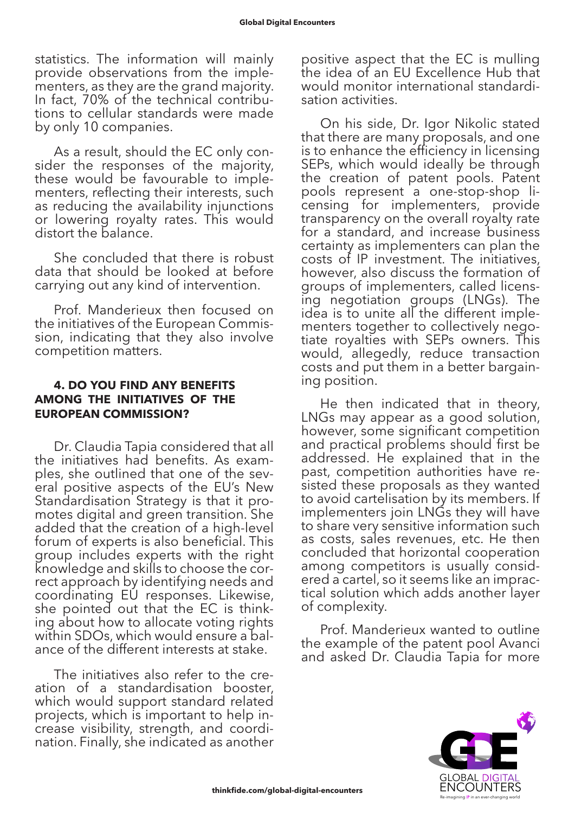statistics. The information will mainly provide observations from the implementers, as they are the grand majority. In fact, 70% of the technical contributions to cellular standards were made by only 10 companies.

As a result, should the EC only consider the responses of the majority, these would be favourable to implementers, reflecting their interests, such as reducing the availability injunctions or lowering royalty rates. This would distort the balance.

She concluded that there is robust data that should be looked at before carrying out any kind of intervention.

Prof. Manderieux then focused on the initiatives of the European Commission, indicating that they also involve competition matters.

# **4. DO YOU FIND ANY BENEFITS AMONG THE INITIATIVES OF THE EUROPEAN COMMISSION?**

Dr. Claudia Tapia considered that all the initiatives had benefits. As examples, she outlined that one of the several positive aspects of the EU's New Standardisation Strategy is that it promotes digital and green transition. She added that the creation of a high-level forum of experts is also beneficial. This group includes experts with the right knowledge and skills to choose the cor- rect approach by identifying needs and coordinating EU responses. Likewise, she pointed out that the EC is think- ing about how to allocate voting rights within SDOs, which would ensure a bal- ance of the different interests at stake.

The initiatives also refer to the creation of a standardisation booster, which would support standard related projects, which is important to help in- crease visibility, strength, and coordi- nation. Finally, she indicated as another

positive aspect that the EC is mulling the idea of an EU Excellence Hub that would monitor international standardisation activities.

On his side, Dr. Igor Nikolic stated that there are many proposals, and one is to enhance the efficiency in licensing SEPs, which would ideally be through the creation of patent pools. Patent pools represent a one-stop-shop li- censing for implementers, provide transparency on the overall royalty rate for a standard, and increase business certainty as implementers can plan the costs of IP investment. The initiatives, however, also discuss the formation of groups of implementers, called licens- ing negotiation groups (LNGs). The idea is to unite all the different imple- menters together to collectively nego- tiate royalties with SEPs owners. This would, allegedly, reduce transaction costs and put them in a better bargain- ing position.

He then indicated that in theory, LNGs may appear as a good solution, however, some significant competition and practical problems should first be addressed. He explained that in the past, competition authorities have re- sisted these proposals as they wanted to avoid cartelisation by its members. If implementers join LNGs they will have to share very sensitive information such as costs, sales revenues, etc. He then concluded that horizontal cooperation among competitors is usually considered a cartel, so it seems like an impractical solution which adds another layer of complexity.

Prof. Manderieux wanted to outline the example of the patent pool Avanci and asked Dr. Claudia Tapia for more

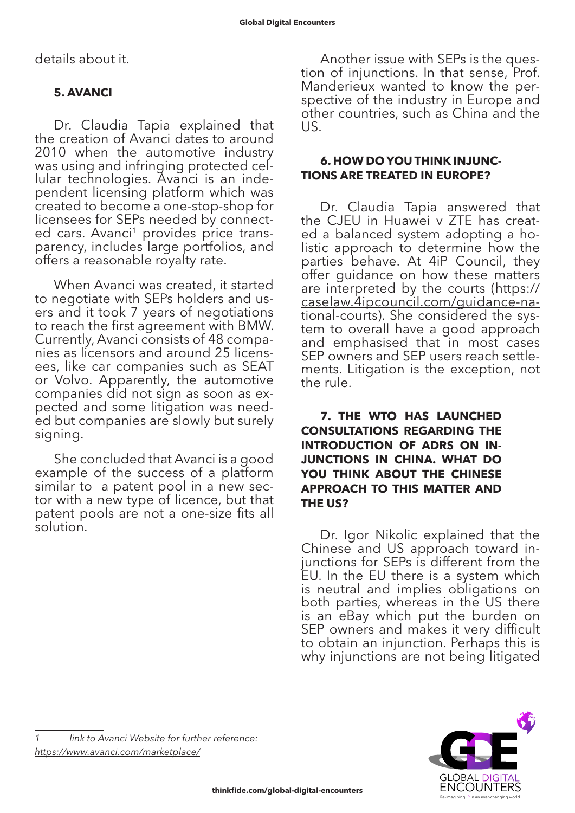details about it.

# **5. AVANCI**

Dr. Claudia Tapia explained that the creation of Avanci dates to around 2010 when the automotive industry was using and infringing protected cellular technologies. Avanci is an independent licensing platform which was created to become a one-stop-shop for licensees for SEPs needed by connected cars. Avanci<sup>1</sup> provides price transparency, includes large portfolios, and offers a reasonable royalty rate.

When Avanci was created, it started to negotiate with SEPs holders and users and it took 7 years of negotiations to reach the first agreement with BMW. Currently, Avanci consists of 48 companies as licensors and around 25 licensees, like car companies such as SEAT or Volvo. Apparently, the automotive companies did not sign as soon as expected and some litigation was needed but companies are slowly but surely signing.

She concluded that Avanci is a good example of the success of a platform similar to a patent pool in a new sec- tor with a new type of licence, but that patent pools are not a one-size fits all solution.

Another issue with SEPs is the question of injunctions. In that sense, Prof. Manderieux wanted to know the perspective of the industry in Europe and other countries, such as China and the US.

#### **6. HOW DO YOU THINK INJUNC-TIONS ARE TREATED IN EUROPE?**

Dr. Claudia Tapia answered that the CJEU in Huawei v ZTE has created a balanced system adopting a holistic approach to determine how the parties behave. At 4iP Council, they offer guidance on how these matters are interpreted by the courts ([https://](https://caselaw.4ipcouncil.com/guidance-national-courts) [caselaw.4ipcouncil.com/guidance-na-](https://caselaw.4ipcouncil.com/guidance-national-courts) [tional-courts](https://caselaw.4ipcouncil.com/guidance-national-courts)). She considered the sys- tem to overall have a good approach and emphasised that in most cases SEP owners and SEP users reach settle- ments. Litigation is the exception, not the rule.

**7. THE WTO HAS LAUNCHED CONSULTATIONS REGARDING THE INTRODUCTION OF ADRS ON IN-JUNCTIONS IN CHINA. WHAT DO YOU THINK ABOUT THE CHINESE APPROACH TO THIS MATTER AND THE US?**

Dr. Igor Nikolic explained that the Chinese and US approach toward injunctions for SEPs is different from the EU. In the EU there is a system which is neutral and implies obligations on both parties, whereas in the US there is an eBay which put the burden on SEP owners and makes it very difficult to obtain an injunction. Perhaps this is why injunctions are not being litigated

*1 link to Avanci Website for further reference: <https://www.avanci.com/marketplace/>*

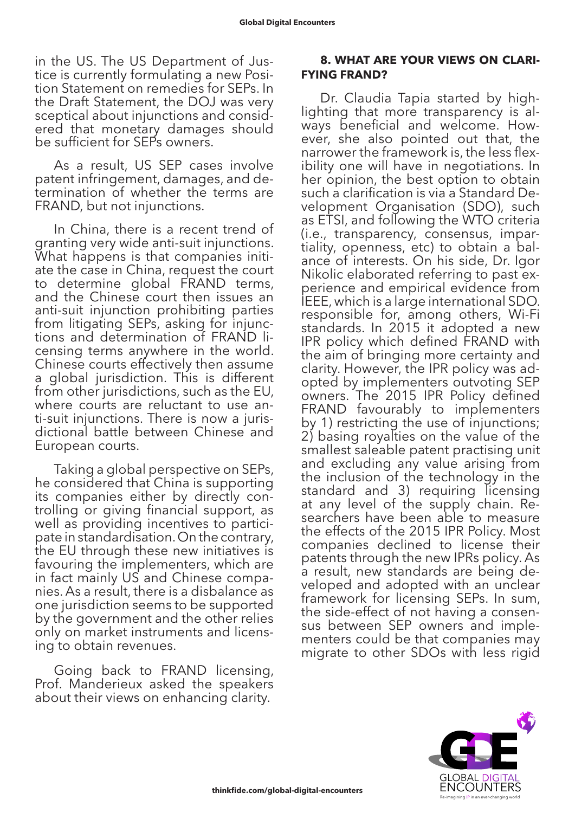in the US. The US Department of Jus- tice is currently formulating a new Posi- tion Statement on remedies for SEPs. In the Draft Statement, the DOJ was very sceptical about injunctions and consid- ered that monetary damages should be sufficient for SEPs owners.

As a result, US SEP cases involve patent infringement, damages, and determination of whether the terms are FRAND, but not injunctions.

In China, there is a recent trend of granting very wide anti-suit injunctions. What happens is that companies initiate the case in China, request the court to determine global FRAND terms, and the Chinese court then issues an anti-suit injunction prohibiting parties from litigating SEPs, asking for injunctions and determination of FRAND licensing terms anywhere in the world. Chinese courts effectively then assume a global jurisdiction. This is different from other jurisdictions, such as the EU, where courts are reluctant to use an-<br>ti-suit injunctions. There is now a juris-<br>dictional battle between Chinese and European courts.

Taking a global perspective on SEPs, he considered that China is supporting its companies either by directly controlling or giving financial support, as well as providing incentives to participate in standardisation. On the contrary, the EU through these new initiatives is favouring the implementers, which are in fact mainly US and Chinese companies. As a result, there is a disbalance as one jurisdiction seems to be supported by the government and the other relies only on market instruments and licensing to obtain revenues.

Going back to FRAND licensing, Prof. Manderieux asked the speakers about their views on enhancing clarity.

#### **8. WHAT ARE YOUR VIEWS ON CLARI-FYING FRAND?**

Dr. Claudia Tapia started by highlighting that more transparency is always beneficial and welcome. However, she also pointed out that, the narrower the framework is, the less flexibility one will have in negotiations. In her opinion, the best option to obtain such a clarification is via a Standard Development Organisation (SDO), such as ETSI, and following the WTO criteria (i.e., transparency, consensus, impartiality, openness, etc) to obtain a balance of interests. On his side, Dr. Igor Nikolic elaborated referring to past experience and empirical evidence from IEEE, which is a large international SDO. responsible for, among others, Wi-Fi standards. In 2015 it adopted a new IPR policy which defined FRAND with the aim of bringing more certainty and clarity. However, the IPR policy was adopted by implementers outvoting SEP owners. The 2015 IPR Policy defined FRAND favourably to implementers by 1) restricting the use of injunctions; 2) basing royalties on the value of the smallest saleable patent practising unit and excluding any value arising from the inclusion of the technology in the standard and 3) requiring licensing at any level of the supply chain. Re- searchers have been able to measure the effects of the 2015 IPR Policy. Most companies declined to license their patents through the new IPRs policy. As a result, new standards are being developed and adopted with an unclear framework for licensing SEPs. In sum, the side-effect of not having a consen- sus between SEP owners and imple- menters could be that companies may migrate to other SDOs with less rigid

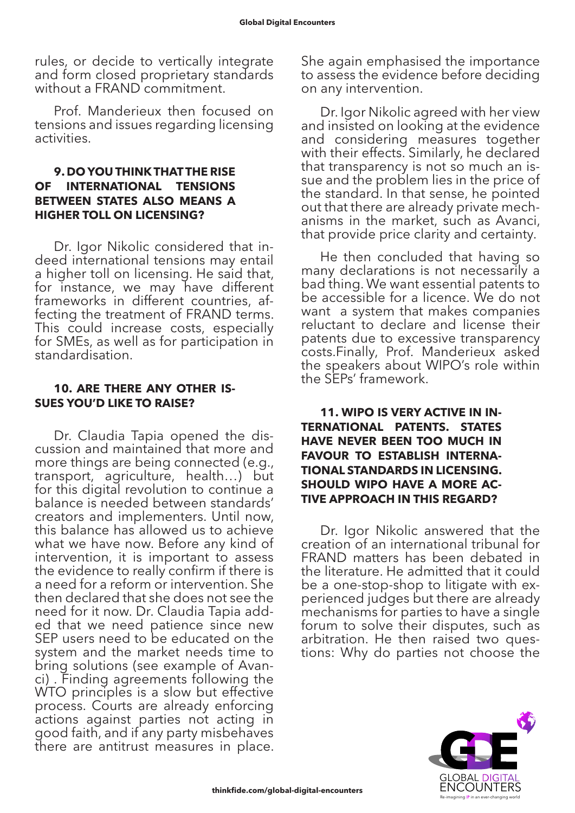rules, or decide to vertically integrate and form closed proprietary standards without a FRAND commitment.

Prof. Manderieux then focused on tensions and issues regarding licensing activities.

#### **9. DO YOU THINK THAT THE RISE OF INTERNATIONAL TENSIONS BETWEEN STATES ALSO MEANS A HIGHER TOLL ON LICENSING?**

Dr. Igor Nikolic considered that in- deed international tensions may entail a higher toll on licensing. He said that, for instance, we may have different frameworks in different countries, affecting the treatment of FRAND terms. This could increase costs, especially for SMEs, as well as for participation in standardisation.

#### **10. ARE THERE ANY OTHER IS-SUES YOU'D LIKE TO RAISE?**

Dr. Claudia Tapia opened the dis- cussion and maintained that more and more things are being connected (e.g., transport, agriculture, health…) but for this digital revolution to continue a balance is needed between standards' creators and implementers. Until now, this balance has allowed us to achieve what we have now. Before any kind of intervention, it is important to assess the evidence to really confirm if there is a need for a reform or intervention. She then declared that she does not see the need for it now. Dr. Claudia Tapia added that we need patience since new SEP users need to be educated on the system and the market needs time to bring solutions (see example of Avanci) . Finding agreements following the WTO principles is a slow but effective process. Courts are already enforcing actions against parties not acting in good faith, and if any party misbehaves there are antitrust measures in place.

She again emphasised the importance to assess the evidence before deciding on any intervention.

Dr. Igor Nikolic agreed with her view and insisted on looking at the evidence and considering measures together with their effects. Similarly, he declared that transparency is not so much an issue and the problem lies in the price of the standard. In that sense, he pointed out that there are already private mechanisms in the market, such as Avanci, that provide price clarity and certainty.

He then concluded that having so many declarations is not necessarily a bad thing. We want essential patents to be accessible for a licence. We do not want a system that makes companies reluctant to declare and license their patents due to excessive transparency costs.Finally, Prof. Manderieux asked the speakers about WIPO's role within the SEPs' framework.

#### **11. WIPO IS VERY ACTIVE IN IN-TERNATIONAL PATENTS. STATES HAVE NEVER BEEN TOO MUCH IN FAVOUR TO ESTABLISH INTERNA-TIONAL STANDARDS IN LICENSING. SHOULD WIPO HAVE A MORE AC-TIVE APPROACH IN THIS REGARD?**

Dr. Igor Nikolic answered that the creation of an international tribunal for FRAND matters has been debated in the literature. He admitted that it could be a one-stop-shop to litigate with experienced judges but there are already mechanisms for parties to have a single forum to solve their disputes, such as arbitration. He then raised two ques- tions: Why do parties not choose the

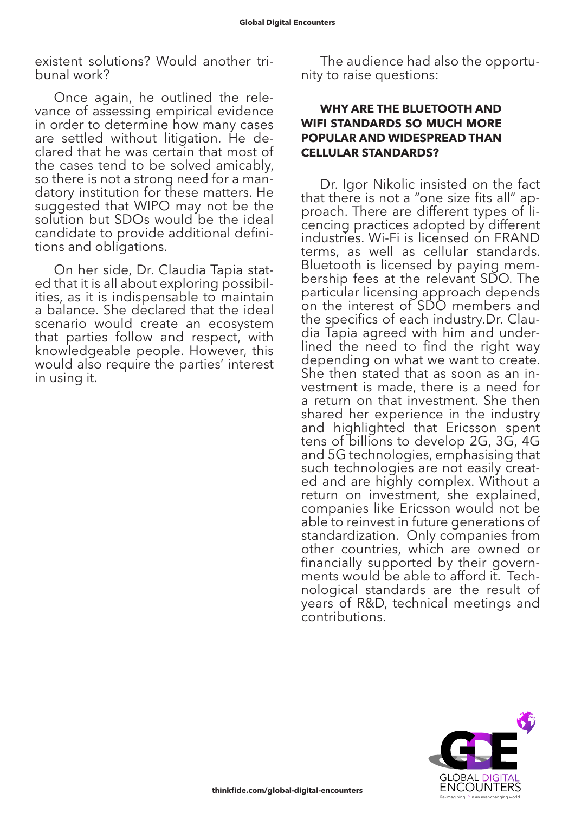existent solutions? Would another tri- bunal work?

Once again, he outlined the relevance of assessing empirical evidence in order to determine how many cases are settled without litigation. He declared that he was certain that most of the cases tend to be solved amicably, so there is not a strong need for a mandatory institution for these matters. He suggested that WIPO may not be the solution but SDOs would be the ideal candidate to provide additional definitions and obligations.

On her side, Dr. Claudia Tapia stated that it is all about exploring possibilities, as it is indispensable to maintain a balance. She declared that the ideal scenario would create an ecosystem that parties follow and respect, with knowledgeable people. However, this would also require the parties' interest in using it.

The audience had also the opportu- nity to raise questions:

#### **WHY ARE THE BLUETOOTH AND WIFI STANDARDS SO MUCH MORE POPULAR AND WIDESPREAD THAN CELLULAR STANDARDS?**

Dr. Igor Nikolic insisted on the fact that there is not a "one size fits all" approach. There are different types of licencing practices adopted by different industries. Wi-Fi is licensed on FRAND terms, as well as cellular standards. Bluetooth is licensed by paying membership fees at the relevant SDO. The particular licensing approach depends on the interest of SDO members and the specifics of each industry.Dr. Claudia Tapia agreed with him and underlined the need to find the right way depending on what we want to create. She then stated that as soon as an in- vestment is made, there is a need for a return on that investment. She then shared her experience in the industry and highlighted that Ericsson spent tens of billions to develop 2G, 3G, 4G and 5G technologies, emphasising that such technologies are not easily creat- ed and are highly complex. Without a return on investment, she explained, companies like Ericsson would not be able to reinvest in future generations of standardization. Only companies from other countries, which are owned or financially supported by their governments would be able to afford it. Technological standards are the result of years of R&D, technical meetings and contributions.